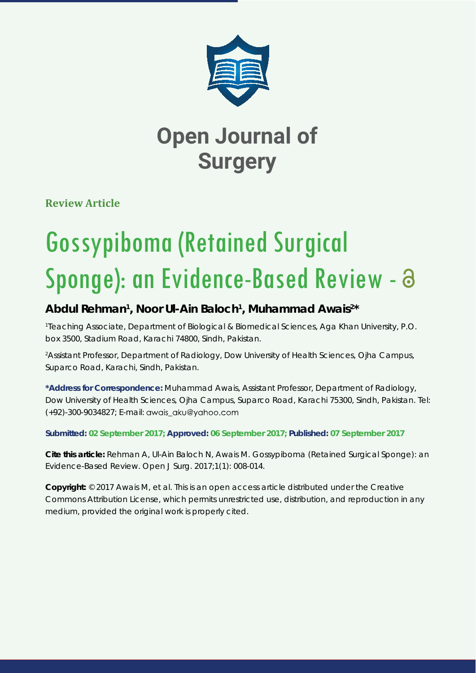

**Review Article**

# Gossypiboma (Retained Surgical Sponge): an Evidence-Based Review - 8

### Abdul Rehman<sup>1</sup>, Noor UI-Ain Baloch<sup>1</sup>, Muhammad Awais<sup>2\*</sup>

*1 Teaching Associate, Department of Biological & Biomedical Sciences, Aga Khan University, P.O. box 3500, Stadium Road, Karachi 74800, Sindh, Pakistan.*

*2 Assistant Professor, Department of Radiology, Dow University of Health Sciences, Ojha Campus, Suparco Road, Karachi, Sindh, Pakistan.*

**\*Address for Correspondence:** Muhammad Awais, Assistant Professor, Department of Radiology, Dow University of Health Sciences, Ojha Campus, Suparco Road, Karachi 75300, Sindh, Pakistan. Tel: (+92)-300-9034827; E-mail:

**Submitted: 02 September 2017; Approved: 06 September 2017; Published: 07 September 2017**

**Cite this article:** Rehman A, Ul-Ain Baloch N, Awais M. Gossypiboma (Retained Surgical Sponge): an Evidence-Based Review. Open J Surg. 2017;1(1): 008-014.

**Copyright:** © 2017 Awais M, et al. This is an open access article distributed under the Creative Commons Attribution License, which permits unrestricted use, distribution, and reproduction in any medium, provided the original work is properly cited.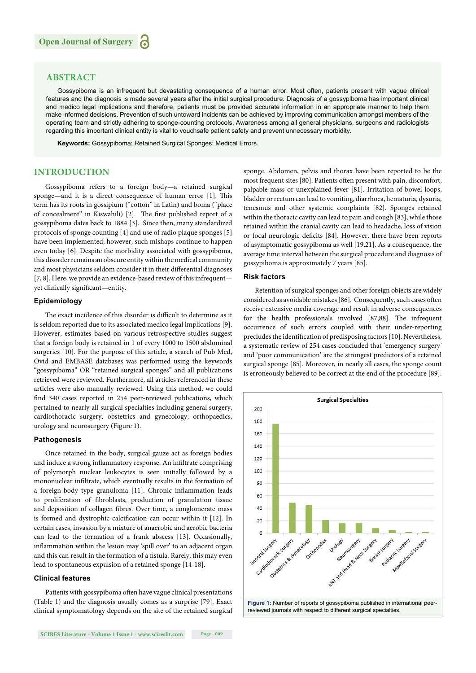#### **ABSTRACT**

Gossypiboma is an infrequent but devastating consequence of a human error. Most often, patients present with vague clinical features and the diagnosis is made several years after the initial surgical procedure. Diagnosis of a gossypiboma has important clinical and medico legal implications and therefore, patients must be provided accurate information in an appropriate manner to help them make informed decisions. Prevention of such untoward incidents can be achieved by improving communication amongst members of the operating team and strictly adhering to sponge-counting protocols. Awareness among all general physicians, surgeons and radiologists regarding this important clinical entity is vital to vouchsafe patient safety and prevent unnecessary morbidity.

**Keywords:** Gossypiboma; Retained Surgical Sponges; Medical Errors.

#### **INTRODUCTION**

Gossypiboma refers to a foreign body—a retained surgical sponge—and it is a direct consequence of human error [1]. This term has its roots in gossipium ("cotton" in Latin) and boma ("place of concealment" in Kiswahili) [2]. The first published report of a gossypiboma dates back to 1884 [3]. Since then, many standardized protocols of sponge counting [4] and use of radio plaque sponges [5] have been implemented; however, such mishaps continue to happen even today [6]. Despite the morbidity associated with gossypiboma, this disorder remains an obscure entity within the medical community and most physicians seldom consider it in their differential diagnoses [7, 8]. Here, we provide an evidence-based review of this infrequent yet clinically significant—entity.

#### **Epidemiology**

The exact incidence of this disorder is difficult to determine as it is seldom reported due to its associated medico legal implications [9]. However, estimates based on various retrospective studies suggest that a foreign body is retained in 1 of every 1000 to 1500 abdominal surgeries [10]. For the purpose of this article, a search of Pub Med, Ovid and EMBASE databases was performed using the keywords "gossypiboma" OR "retained surgical sponges" and all publications retrieved were reviewed. Furthermore, all articles referenced in these articles were also manually reviewed. Using this method, we could find 340 cases reported in 254 peer-reviewed publications, which pertained to nearly all surgical specialties including general surgery, cardiothoracic surgery, obstetrics and gynecology, orthopaedics, urology and neurosurgery (Figure 1).

#### **Pathogenesis**

Once retained in the body, surgical gauze act as foreign bodies and induce a strong inflammatory response. An infiltrate comprising of polymorph nuclear leukocytes is seen initially followed by a mononuclear infiltrate, which eventually results in the formation of a foreign-body type granuloma [11]. Chronic inflammation leads to proliferation of fibroblasts, production of granulation tissue and deposition of collagen fibres. Over time, a conglomerate mass is formed and dystrophic calcification can occur within it [12]. In certain cases, invasion by a mixture of anaerobic and aerobic bacteria can lead to the formation of a frank abscess [13]. Occasionally, inflammation within the lesion may 'spill over' to an adjacent organ and this can result in the formation of a fistula. Rarely, this may even lead to spontaneous expulsion of a retained sponge [14-18].

#### **Clinical features**

Patients with gossypiboma often have vague clinical presentations (Table 1) and the diagnosis usually comes as a surprise [79]. Exact clinical symptomatology depends on the site of the retained surgical

sponge. Abdomen, pelvis and thorax have been reported to be the most frequent sites [80]. Patients often present with pain, discomfort, palpable mass or unexplained fever [81]. Irritation of bowel loops, bladder or rectum can lead to vomiting, diarrhoea, hematuria, dysuria, tenesmus and other systemic complaints [82]. Sponges retained within the thoracic cavity can lead to pain and cough [83], while those retained within the cranial cavity can lead to headache, loss of vision or focal neurologic deficits [84]. However, there have been reports of asymptomatic gossypiboma as well [19,21]. As a consequence, the average time interval between the surgical procedure and diagnosis of gossypiboma is approximately 7 years [85].

#### **Risk factors**

Retention of surgical sponges and other foreign objects are widely considered as avoidable mistakes [86]. Consequently, such cases often receive extensive media coverage and result in adverse consequences for the health professionals involved [87,88]. The infrequent occurrence of such errors coupled with their under-reporting precludes the identification of predisposing factors [10]. Nevertheless, a systematic review of 254 cases concluded that 'emergency surgery' and 'poor communication' are the strongest predictors of a retained surgical sponge [85]. Moreover, in nearly all cases, the sponge count is erroneously believed to be correct at the end of the procedure [89].

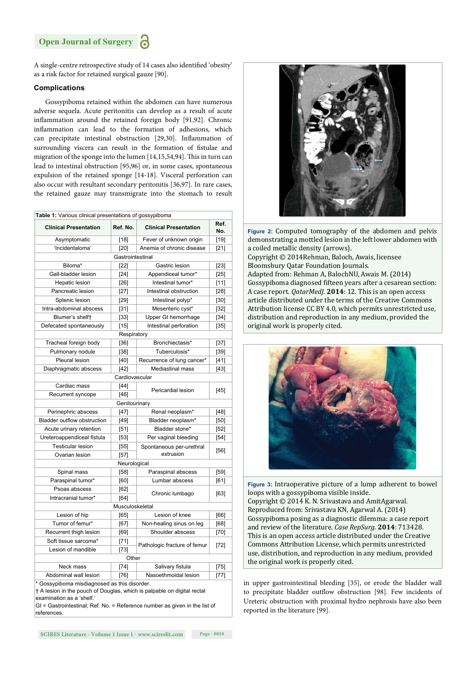A single-centre retrospective study of 14 cases also identified 'obesity' as a risk factor for retained surgical gauze [90].

#### **Complications**

Gossypiboma retained within the abdomen can have numerous adverse sequela. Acute peritonitis can develop as a result of acute inflammation around the retained foreign body [91,92]. Chronic inflammation can lead to the formation of adhesions, which can precipitate intestinal obstruction [29,30]. Inflammation of surrounding viscera can result in the formation of fistulae and migration of the sponge into the lumen  $[14, 15, 54, 94]$ . This in turn can lead to intestinal obstruction [95,96] or, in some cases, spontaneous expulsion of the retained sponge [14-18]. Visceral perforation can also occur with resultant secondary peritonitis [36,97]. In rare cases, the retained gauze may transmigrate into the stomach to result

| Table 1: Various clinical presentations of gossypiboma |          |                                       |                                                                                                                                                                                                                                                                                                                                                                                                                                                                                                                                                                                                               |
|--------------------------------------------------------|----------|---------------------------------------|---------------------------------------------------------------------------------------------------------------------------------------------------------------------------------------------------------------------------------------------------------------------------------------------------------------------------------------------------------------------------------------------------------------------------------------------------------------------------------------------------------------------------------------------------------------------------------------------------------------|
| <b>Clinical Presentation</b>                           | Ref. No. | <b>Clinical Presentation</b>          | Ref.<br>No.                                                                                                                                                                                                                                                                                                                                                                                                                                                                                                                                                                                                   |
| Asymptomatic                                           | $[18]$   | Fever of unknown origin               | [19]                                                                                                                                                                                                                                                                                                                                                                                                                                                                                                                                                                                                          |
| 'Incidentaloma'                                        | $[20]$   | Anemia of chronic disease             | $[21]$                                                                                                                                                                                                                                                                                                                                                                                                                                                                                                                                                                                                        |
| Gastrointestinal                                       |          |                                       |                                                                                                                                                                                                                                                                                                                                                                                                                                                                                                                                                                                                               |
| Biloma*                                                | $[22]$   | Gastric lesion                        | $[23]$                                                                                                                                                                                                                                                                                                                                                                                                                                                                                                                                                                                                        |
| Gall-bladder lesion                                    | $[24]$   | Appendiceal tumor*                    | $[25]$                                                                                                                                                                                                                                                                                                                                                                                                                                                                                                                                                                                                        |
| Hepatic lesion                                         | $[26]$   | Intestinal tumor*                     | [11]                                                                                                                                                                                                                                                                                                                                                                                                                                                                                                                                                                                                          |
| Pancreatic lesion                                      | $[27]$   | Intestinal obstruction                | $[28]$                                                                                                                                                                                                                                                                                                                                                                                                                                                                                                                                                                                                        |
| Splenic lesion                                         | $[29]$   | Intestinal polyp*                     | $[30]$                                                                                                                                                                                                                                                                                                                                                                                                                                                                                                                                                                                                        |
| Intra-abdominal abscess                                | $[31]$   | Mesenteric cyst*                      | $[32]$                                                                                                                                                                                                                                                                                                                                                                                                                                                                                                                                                                                                        |
| Blumer's shelft                                        | $[33]$   | Upper GI hemorrhage                   | $[34]$                                                                                                                                                                                                                                                                                                                                                                                                                                                                                                                                                                                                        |
| Defecated spontaneously                                | $[15]$   | Intestinal perforation                | $[35]$                                                                                                                                                                                                                                                                                                                                                                                                                                                                                                                                                                                                        |
| Respiratory                                            |          |                                       |                                                                                                                                                                                                                                                                                                                                                                                                                                                                                                                                                                                                               |
| Tracheal foreign body                                  | $[36]$   | Bronchiectasis*                       | $[37]$                                                                                                                                                                                                                                                                                                                                                                                                                                                                                                                                                                                                        |
| Pulmonary nodule                                       | $[38]$   | Tuberculosis*                         | $[39]$                                                                                                                                                                                                                                                                                                                                                                                                                                                                                                                                                                                                        |
| Pleural lesion                                         | $[40]$   | Recurrence of lung cancer*            | $[41]$                                                                                                                                                                                                                                                                                                                                                                                                                                                                                                                                                                                                        |
| Diaphragmatic abscess                                  | $[42]$   | <b>Mediastinal mass</b>               | [43]                                                                                                                                                                                                                                                                                                                                                                                                                                                                                                                                                                                                          |
| Cardiovascular                                         |          |                                       |                                                                                                                                                                                                                                                                                                                                                                                                                                                                                                                                                                                                               |
| Cardiac mass                                           | $[44]$   | Pericardial lesion                    | $[45] % \includegraphics[width=1\textwidth]{images/TrDiM-Architecture.png} % \caption{\label{TrDiM-Architecture} The image shows the number of three different times, as a function of the two different times, as a function of the two different times, as a function of the two different times, as a function of the two different times, as a function of the two different times, as a function of the two different times, as a function of the two different times, as a function of the two different times, as a function of the two different times, as a function of the two different times.} %$ |
| Recurrent syncope                                      | $[46]$   |                                       |                                                                                                                                                                                                                                                                                                                                                                                                                                                                                                                                                                                                               |
| Genitourinary                                          |          |                                       |                                                                                                                                                                                                                                                                                                                                                                                                                                                                                                                                                                                                               |
| Perinephric abscess                                    | $[47]$   | Renal neoplasm*                       | [48]                                                                                                                                                                                                                                                                                                                                                                                                                                                                                                                                                                                                          |
| <b>Bladder outflow obstruction</b>                     | [49]     | Bladder neoplasm*                     | [50]                                                                                                                                                                                                                                                                                                                                                                                                                                                                                                                                                                                                          |
| Acute urinary retention                                | $[51]$   | Bladder stone*                        | $[52]$                                                                                                                                                                                                                                                                                                                                                                                                                                                                                                                                                                                                        |
| Ureteroappendiceal fistula                             | $[53]$   | Per vaginal bleeding                  | $[54]$                                                                                                                                                                                                                                                                                                                                                                                                                                                                                                                                                                                                        |
| <b>Testicular lesion</b>                               | $[55]$   | Spontaneous per-urethral<br>extrusion | [56]                                                                                                                                                                                                                                                                                                                                                                                                                                                                                                                                                                                                          |
| Ovarian lesion                                         | $[57]$   |                                       |                                                                                                                                                                                                                                                                                                                                                                                                                                                                                                                                                                                                               |
| Neurological                                           |          |                                       |                                                                                                                                                                                                                                                                                                                                                                                                                                                                                                                                                                                                               |
| Spinal mass                                            | $[58]$   | Paraspinal abscess                    | [59]                                                                                                                                                                                                                                                                                                                                                                                                                                                                                                                                                                                                          |
| Paraspinal tumor*                                      | [60]     | Lumbar abscess                        | [61]                                                                                                                                                                                                                                                                                                                                                                                                                                                                                                                                                                                                          |
| Psoas abscess                                          | $[62]$   | Chronic lumbago                       | [63]                                                                                                                                                                                                                                                                                                                                                                                                                                                                                                                                                                                                          |
| Intracranial tumor*                                    | [64]     |                                       |                                                                                                                                                                                                                                                                                                                                                                                                                                                                                                                                                                                                               |
| Musculoskeletal                                        |          |                                       |                                                                                                                                                                                                                                                                                                                                                                                                                                                                                                                                                                                                               |
| Lesion of hip                                          | [65]     | Lesion of knee                        | [66]                                                                                                                                                                                                                                                                                                                                                                                                                                                                                                                                                                                                          |
| Tumor of femur*                                        | [67]     | Non-healing sinus on leg              | $[68]$                                                                                                                                                                                                                                                                                                                                                                                                                                                                                                                                                                                                        |
| Recurrent thigh lesion                                 | [69]     | Shoulder abscess                      | [70]                                                                                                                                                                                                                                                                                                                                                                                                                                                                                                                                                                                                          |
| Soft tissue sarcoma*                                   | $[71]$   | Pathologic fracture of femur          | [72]                                                                                                                                                                                                                                                                                                                                                                                                                                                                                                                                                                                                          |
| Lesion of mandible                                     | $[73]$   |                                       |                                                                                                                                                                                                                                                                                                                                                                                                                                                                                                                                                                                                               |
| Other                                                  |          |                                       |                                                                                                                                                                                                                                                                                                                                                                                                                                                                                                                                                                                                               |
| Neck mass                                              | $[74]$   | Salivary fistula                      | $[75]$                                                                                                                                                                                                                                                                                                                                                                                                                                                                                                                                                                                                        |
| Abdominal wall lesion                                  | $[76]$   | Nasoethmoidal lesion                  | [77]                                                                                                                                                                                                                                                                                                                                                                                                                                                                                                                                                                                                          |

\* Gossypiboma misdiagnosed as this disorder.

† A lesion in the pouch of Douglas, which is palpable on digital rectal examination as a 'shelf.'

GI = Gastrointestinal; Ref. No. = Reference number as given in the list of references.



**Figure 2:** Computed tomography of the abdomen and pelvis demonstrating a mottled lesion in the left lower abdomen with a coiled metallic density (arrows). Copyright © 2014Rehman, Baloch, Awais, licensee Bloomsbury Qatar Foundation Journals. Adapted from: Rehman A, BalochNU, Awais M. (2014) Gossypiboma diagnosed fifteen years after a cesarean section: A case report. *QatarMedJ.* **2014**: 12. This is an open access article distributed under the terms of the Creative Commons Attribution license CC BY 4.0, which permits unrestricted use, distribution and reproduction in any medium, provided the original work is properly cited.



**Figure 3:** Intraoperative picture of a lump adherent to bowel loops with a gossypiboma visible inside. Copyright © 2014 K. N. Srivastava and AmitAgarwal. Reproduced from: Srivastava KN, Agarwal A. (2014) Gossypiboma posing as a diagnostic dilemma: a case report and review of the literature. *Case RepSurg.* **2014**: 713428. This is an open access article distributed under the Creative Commons Attribution License, which permits unrestricted use, distribution, and reproduction in any medium, provided the original work is properly cited.

in upper gastrointestinal bleeding [35], or erode the bladder wall to precipitate bladder outflow obstruction [98]. Few incidents of Ureteric obstruction with proximal hydro nephrosis have also been reported in the literature [99].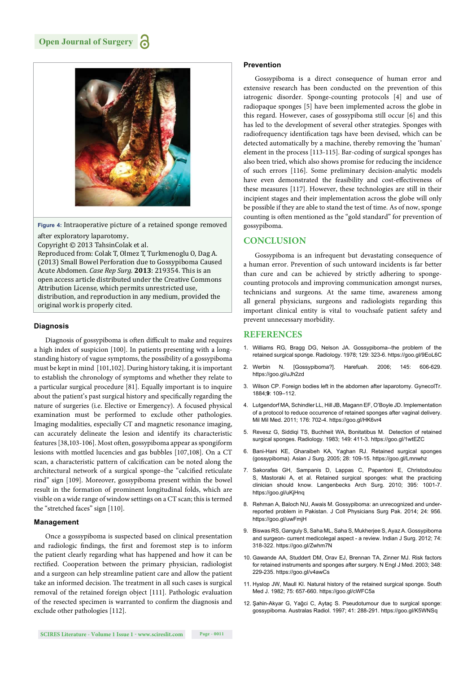

**Figure 4:** Intraoperative picture of a retained sponge removed

after exploratory laparotomy.

Copyright © 2013 TahsinColak et al.

Reproduced from: Colak T, Olmez T, Turkmenoglu O, Dag A. (2013) Small Bowel Perforation due to Gossypiboma Caused Acute Abdomen. *Case Rep Surg.* **2013**: 219354. This is an open access article distributed under the Creative Commons Attribution License, which permits unrestricted use, distribution, and reproduction in any medium, provided the original work is properly cited.

#### **Diagnosis**

Diagnosis of gossypiboma is often difficult to make and requires a high index of suspicion [100]. In patients presenting with a longstanding history of vague symptoms, the possibility of a gossypiboma must be kept in mind [101,102]. During history taking, it is important to establish the chronology of symptoms and whether they relate to a particular surgical procedure [81]. Equally important is to inquire about the patient's past surgical history and specifically regarding the nature of surgeries (i.e. Elective or Emergency). A focused physical examination must be performed to exclude other pathologies. Imaging modalities, especially CT and magnetic resonance imaging, can accurately delineate the lesion and identify its characteristic features [38,103-106]. Most often, gossypiboma appear as spongiform lesions with mottled lucencies and gas bubbles [107,108]. On a CT scan, a characteristic pattern of calcification can be noted along the architectural network of a surgical sponge–the "calcified reticulate rind" sign [109]. Moreover, gossypiboma present within the bowel result in the formation of prominent longitudinal folds, which are visible on a wide range of window settings on a CT scan; this is termed the "stretched faces" sign [110].

#### **Management**

Once a gossypiboma is suspected based on clinical presentation and radiologic findings, the first and foremost step is to inform the patient clearly regarding what has happened and how it can be rectified. Cooperation between the primary physician, radiologist and a surgeon can help streamline patient care and allow the patient take an informed decision. The treatment in all such cases is surgical removal of the retained foreign object [111]. Pathologic evaluation of the resected specimen is warranted to confirm the diagnosis and exclude other pathologies [112].

#### **Prevention**

Gossypiboma is a direct consequence of human error and extensive research has been conducted on the prevention of this iatrogenic disorder. Sponge-counting protocols [4] and use of radiopaque sponges [5] have been implemented across the globe in this regard. However, cases of gossypiboma still occur [6] and this has led to the development of several other strategies. Sponges with radiofrequency identification tags have been devised, which can be detected automatically by a machine, thereby removing the 'human' element in the process [113-115]. Bar-coding of surgical sponges has also been tried, which also shows promise for reducing the incidence of such errors [116]. Some preliminary decision-analytic models have even demonstrated the feasibility and cost-effectiveness of these measures [117]. However, these technologies are still in their incipient stages and their implementation across the globe will only be possible if they are able to stand the test of time. As of now, sponge counting is often mentioned as the "gold standard" for prevention of gossypiboma.

#### **CONCLUSION**

Gossypiboma is an infrequent but devastating consequence of a human error. Prevention of such untoward incidents is far better than cure and can be achieved by strictly adhering to spongecounting protocols and improving communication amongst nurses, technicians and surgeons. At the same time, awareness among all general physicians, surgeons and radiologists regarding this important clinical entity is vital to vouchsafe patient safety and prevent unnecessary morbidity.

#### **REFERENCES**

- 1. Williams RG, Bragg DG, Nelson JA. Gossypiboma--the problem of the retained surgical sponge. Radiology. 1978; 129: 323-6. https://goo.gl/9EoL6C
- 2. Werbin N. [Gossypiboma?]. Harefuah. 2006; 145: 606-629. https://goo.gl/uJh2zd
- 3. Wilson CP. Foreign bodies left in the abdomen after laparotomy. GynecolTr. 1884;**9**: 109–112.
- 4. Lutgendorf MA, Schindler LL, Hill JB, Magann EF, O'Boyle JD. Implementation of a protocol to reduce occurrence of retained sponges after vaginal delivery. Mil Mil Med. 2011; 176: 702-4. https://goo.gl/HK6vr4
- 5. Revesz G, Siddiqi TS, Buchheit WA, Bonitatibus M. Detection of retained surgical sponges. Radiology. 1983; 149: 411-3. https://goo.gl/1wtEZC
- 6. Bani-Hani KE, Gharaibeh KA, Yaghan RJ. Retained surgical sponges (gossypiboma). Asian J Surg. 2005; 28: 109-15. https://goo.gl/Lmnwhz
- 7. Sakorafas GH, Sampanis D, Lappas C, Papantoni E, Christodoulou S, Mastoraki A, et al. Retained surgical sponges: what the practicing clinician should know. Langenbecks Arch Surg. 2010; 395: 1001-7. https://goo.gl/uKjHnq
- 8. Rehman A, Baloch NU, Awais M. Gossypiboma: an unrecognized and underreported problem in Pakistan. J Coll Physicians Surg Pak. 2014; 24: 956. https://goo.gl/uwFmjH
- 9. Biswas RS, Ganguly S, Saha ML, Saha S, Mukherjee S, Ayaz A. Gossypiboma and surgeon- current medicolegal aspect - a review. Indian J Surg. 2012; 74: 318-322. https://goo.gl/Zwhm7N
- 10. Gawande AA, Studdert DM, Orav EJ, Brennan TA, Zinner MJ. Risk factors for retained instruments and sponges after surgery. N Engl J Med. 2003; 348: 229-235. https://goo.gl/v4awCs
- 11. Hyslop JW, Maull KI. Natural history of the retained surgical sponge. South Med J. 1982; 75: 657-660. https://goo.gl/cWFC5a
- 12. Şahin-Akyar G, Yaĝci C, Aytaç S. Pseudotumour due to surgical sponge: gossypiboma. Australas Radiol. 1997; 41: 288-291. https://goo.gl/K5WNSq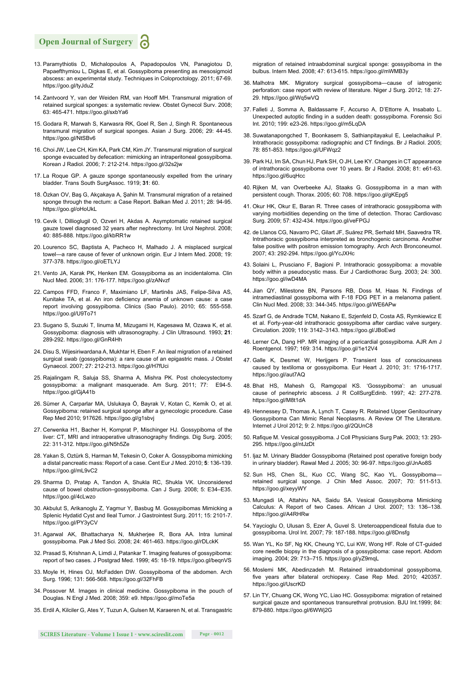- 13. Paramythiotis D, Michalopoulos A, Papadopoulos VN, Panagiotou D, Papaefthymiou L, Digkas E, et al. Gossypiboma presenting as mesosigmoid abscess: an experimental study. Techniques in Coloproctology. 2011; 67-69. https://goo.gl/tyJduZ
- 14. Zantvoord Y, van der Weiden RM, van Hooff MH. Transmural migration of retained surgical sponges: a systematic review. Obstet Gynecol Surv. 2008; 63: 465-471. https://goo.gl/sxbYa6
- 15. Godara R, Marwah S, Karwasra RK, Goel R, Sen J, Singh R. Spontaneous transmural migration of surgical sponges. Asian J Surg. 2006; 29: 44-45. https://goo.gl/NtSBv6
- 16. Choi JW, Lee CH, Kim KA, Park CM, Kim JY. Transmural migration of surgical sponge evacuated by defecation: mimicking an intraperitoneal gossypiboma. Korean J Radiol. 2006; 7: 212-214. https://goo.gl/32s2jw
- 17. La Roque GP. A gauze sponge spontaneously expelled from the urinary bladder. Trans South SurgAssoc. 1919; **31**: 60.
- 18. Özkan OV, Baş G, Akçakaya A, Şahin M. Transmural migration of a retained sponge through the rectum: a Case Report. Balkan Med J. 2011; 28: 94-95. https://goo.gl/oHoUkL
- 19. Cevik I, Dillioglugil O, Ozveri H, Akdas A. Asymptomatic retained surgical gauze towel diagnosed 32 years after nephrectomy. Int Urol Nephrol. 2008; 40: 885-888. https://goo.gl/kbRR1w
- 20. Lourenco SC, Baptista A, Pacheco H, Malhado J. A misplaced surgical towel—a rare cause of fever of unknown origin. Eur J Intern Med. 2008; 19: 377-378. https://goo.gl/oETLYJ
- 21. Vento JA, Karak PK, Henken EM. Gossypiboma as an incidentaloma. Clin Nucl Med. 2006; 31: 176-177. https://goo.gl/zANvzf
- 22. Campos FFD, Franco F, Maximiano LF, Martinês JAS, Felipe-Silva AS, Kunitake TA, et al. An iron deficiency anemia of unknown cause: a case report involving gossypiboma. Clinics (Sao Paulo). 2010; 65: 555-558. https://goo.gl/U9To71
- 23. Sugano S, Suzuki T, Iinuma M, Mizugami H, Kagesawa M, Ozawa K, et al. Gossypiboma: diagnosis with ultrasonography. J Clin Ultrasound. 1993; **21**: 289-292. https://goo.gl/GnR4Hh
- 24. Disu S, Wijesiriwardana A, Mukhtar H, Eben F. An ileal migration of a retained surgical swab (gossypiboma): a rare cause of an epigastric mass. J Obstet Gynaecol. 2007; 27: 212-213. https://goo.gl/H7fUci
- 25. Rajalingam R, Saluja SS, Sharma A, Mishra PK. Post cholecystectomy gossypiboma: a malignant masquerade. Am Surg. 2011; 77: E94-5. https://goo.gl/GjA41b
- 26. Sümer A, Carparlar MA, Uslukaya Ö, Bayrak V, Kotan C, Kemik O, et al. Gossypiboma: retained surgical sponge after a gynecologic procedure. Case Rep Med 2010; 917626. https://goo.gl/g1sbvj
- 27. Cerwenka H1, Bacher H, Kornprat P, Mischinger HJ. Gossypiboma of the liver: CT, MRI and intraoperative ultrasonography findings. Dig Surg. 2005; 22: 311-312. https://goo.gl/N5h5Ze
- 28. Yakan S, Oztürk S, Harman M, Tekesin O, Coker A. Gossypiboma mimicking a distal pancreatic mass: Report of a case. Cent Eur J Med. 2010; **5**: 136-139. https://goo.gl/mL9vC2
- 29. Sharma D, Pratap A, Tandon A, Shukla RC, Shukla VK. Unconsidered cause of bowel obstruction–gossypiboma. Can J Surg. 2008; 5: E34–E35. https://goo.gl/4cLwzo
- 30. Akbulut S, Arikanoglu Z, Yagmur Y, Basbug M. Gossypibomas Mimicking a Splenic Hydatid Cyst and Ileal Tumor. J Gastrointest Surg. 2011; 15: 2101-7. https://goo.gl/PY3yCV
- 31. Agarwal AK, Bhattacharya N, Mukherjee R, Bora AA. Intra luminal gossypiboma. Pak J Med Sci. 2008; 24: 461-463. https://goo.gl/rDLckK
- 32. Prasad S, Krishnan A, Limdi J, Patankar T. Imaging features of gossypiboma: report of two cases. J Postgrad Med. 1999; 45: 18-19. https://goo.gl/beqnVS
- 33. Moyle H, Hines OJ, McFadden DW. Gossypiboma of the abdomen. Arch Surg. 1996; 131: 566-568. https://goo.gl/32FhFB
- 34. Possover M. Images in clinical medicine. Gossypiboma in the pouch of Douglas. N Engl J Med. 2008; 359: e9. https://goo.gl/moTe5a
- 35. Erdil A, Kilciler G, Ates Y, Tuzun A, Gulsen M, Karaeren N, et al. Transgastric

migration of retained intraabdominal surgical sponge: gossypiboma in the bulbus. Intern Med. 2008; 47: 613-615. https://goo.gl/mWMB3y

- 36. Malhotra MK. Migratory surgical gossypiboma—cause of iatrogenic perforation: case report with review of literature. Niger J Surg. 2012; 18: 27- 29. https://goo.gl/Wq5wVQ
- 37. Falleti J, Somma A, Baldassarre F, Accurso A, D'Ettorre A, Insabato L. Unexpected autoptic finding in a sudden death: gossypiboma. Forensic Sci Int. 2010; 199: e23-26. https://goo.gl/m5LqDA
- 38. Suwatanapongched T, Boonkasem S, Sathianpitayakul E, Leelachaikul P. Intrathoracic gossypiboma: radiographic and CT findings. Br J Radiol. 2005; 78: 851-853. https://goo.gl/UFWqz2
- 39. Park HJ, Im SA, Chun HJ, Park SH, O JH, Lee KY. Changes in CT appearance of intrathoracic gossypiboma over 10 years. Br J Radiol. 2008; 81: e61-63. https://goo.gl/6uqHcc
- 40. Rijken M, van Overbeeke AJ, Staaks G. Gossypiboma in a man with persistent cough. Thorax. 2005; 60: 708. https://goo.gl/gKEpg5
- 41. Okur HK, Okur E, Baran R. Three cases of intrathoracic gossypiboma with varying morbidities depending on the time of detection. Thorac Cardiovasc Surg. 2009; 57: 432-434. https://goo.gl/veFPGJ
- 42. de Llanos CG, Navarro PC, Gilart JF, Suárez PR, Serhald MH, Saavedra TR. Intrathoracic gossypiboma interpreted as bronchogenic carcinoma. Another false positive with positron emission tomography. Arch Arch Bronconeumol. 2007; 43: 292-294. https://goo.gl/YcJXHc
- 43. Solaini L, Prusciano F, Bagioni P. Intrathoracic gossypiboma: a movable body within a pseudocystic mass. Eur J Cardiothorac Surg. 2003; 24: 300. https://goo.gl/iwD4MA
- 44. Jian QY, Milestone BN, Parsons RB, Doss M, Haas N. Findings of intramediastinal gossypiboma with F-18 FDG PET in a melanoma patient. Clin Nucl Med. 2008; 33: 344-345. https://goo.gl/WE6APw
- 45. Szarf G, de Andrade TCM, Nakano E, Szjenfeld D, Costa AS, Rymkiewicz E et al. Forty-year-old intrathoracic gossypiboma after cardiac valve surgery. Circulation. 2009; 119: 3142–3143. https://goo.gl/JBoEwd
- 46. Lerner CA, Dang HP. MR imaging of a pericardial gossypiboma. AJR Am J Roentgenol. 1997; 169: 314. https://goo.gl/1e12V4
- 47. Galle K, Desmet W, Herijgers P. Transient loss of consciousness caused by textiloma or gossypiboma. Eur Heart J. 2010; 31: 1716-1717. https://goo.gl/aut7AQ
- 48. Bhat HS, Mahesh G, Ramgopal KS. 'Gossypiboma': an unusual cause of perinephric abscess. J R CollSurgEdinb. 1997; 42: 277-278. https://goo.gl/M8t1dA
- 49. Hennessey D, Thomas A, Lynch T, Casey R. Retained Upper Genitourinary Gossypiboma Can Mimic Renal Neoplasms. A Review Of The Literature. Internet J Urol 2012; 9: 2. https://goo.gl/2QUnC8
- 50. Rafique M. Vesical gossypiboma. J Coll Physicians Surg Pak. 2003; 13: 293-295. https://goo.gl/ntJzDt
- 51. Ijaz M. Urinary Bladder Gossypiboma (Retained post operative foreign body in urinary bladder). Rawal Med J. 2005; 30: 96-97. https://goo.gl/JnAo8S
- 52. Sun HS, Chen SL, Kuo CC, Wang SC, Kao YL. Gossypiboma retained surgical sponge. J Chin Med Assoc. 2007; 70: 511-513. https://goo.gl/xeyyWY
- 53. Mungadi IA, Attahiru NA, Saidu SA. Vesical Gossypiboma Mimicking Calculus: A Report of two Cases. African J Urol. 2007; 13: 136–138. https://goo.gl/A4RHRw
- 54. Yaycioglu O, Ulusan S, Ezer A, Guvel S. Ureteroappendiceal fistula due to gossypiboma. Urol Int. 2007; 79: 187-188. https://goo.gl/8Dnsfg
- 55. Wan YL, Ko SF, Ng KK, Cheung YC, Lui KW, Wong HF. Role of CT-guided core needle biopsy in the diagnosis of a gossypiboma: case report. Abdom imaging. 2004; 29: 713–715. https://goo.gl/yZ9mqL
- 56. Moslemi MK, Abedinzadeh M. Retained intraabdominal gossypiboma, five years after bilateral orchiopexy. Case Rep Med. 2010; 420357. https://goo.gl/UscrKD
- 57. Lin TY, Chuang CK, Wong YC, Liao HC. Gossypiboma: migration of retained surgical gauze and spontaneous transurethral protrusion. BJU Int.1999; 84: 879-880. https://goo.gl/6WWj2G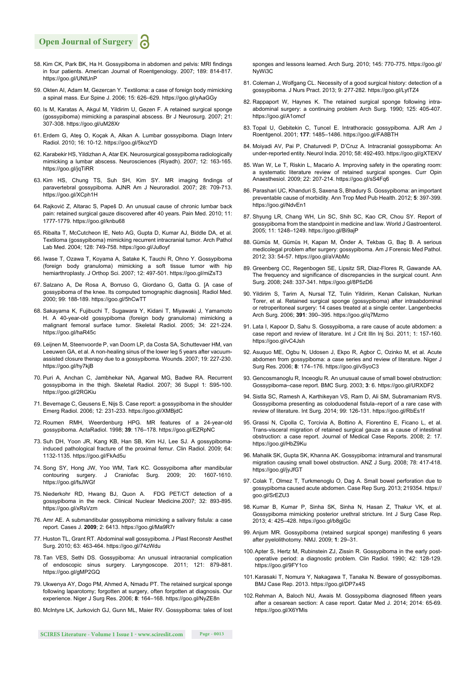- 58. Kim CK, Park BK, Ha H. Gossypiboma in abdomen and pelvis: MRI findings in four patients. American Journal of Roentgenology. 2007; 189: 814-817. https://goo.gl/UNtUnP
- 59. Okten AI, Adam M, Gezercan Y. Textiloma: a case of foreign body mimicking a spinal mass. Eur Spine J. 2006; 15: 626–629. https://goo.gl/yAaGGy
- 60. Is M, Karatas A, Akgul M, Yildirim U, Gezen F. A retained surgical sponge (gossypiboma) mimicking a paraspinal abscess. Br J Neurosurg. 2007; 21: 307-308. https://goo.gl/uM28Xr
- 61. Erdem G, Ateş O, Koçak A, Alkan A. Lumbar gossypiboma. Diagn Interv Radiol. 2010; 16: 10-12. https://goo.gl/5kozYD
- 62. Karabekir HS, Yildizhan A, Atar EK. Neurosurgical gossypiboma radiologically mimicking a lumbar abscess. Neurosciences (Riyadh). 2007; 12: 163-165. https://goo.gl/jqTiRR
- 63. Kim HS, Chung TS, Suh SH, Kim SY. MR imaging findings of paravertebral gossypiboma. AJNR Am J Neuroradiol. 2007; 28: 709-713. https://goo.gl/XCph1H
- 64. Rajković Z, Altarac S, Papeš D. An unusual cause of chronic lumbar back pain: retained surgical gauze discovered after 40 years. Pain Med. 2010; 11: 1777-1779. https://goo.gl/knbu68
- 65. Ribalta T, McCutcheon IE, Neto AG, Gupta D, Kumar AJ, Biddle DA, et al. Textiloma (gossypiboma) mimicking recurrent intracranial tumor. Arch Pathol Lab Med. 2004; 128: 749-758. https://goo.gl/Ju8oyf
- 66. Iwase T, Ozawa T, Koyama A, Satake K, Tauchi R, Ohno Y. Gossypiboma (foreign body granuloma) mimicking a soft tissue tumor with hip hemiarthroplasty. J Orthop Sci. 2007; 12: 497-501. https://goo.gl/miZsT3
- 67. Salzano A, De Rosa A, Borruso G, Giordano G, Gatta G. [A case of gossypiboma of the knee. Its computed tomographic diagnosis]. Radiol Med. 2000; 99: 188-189. https://goo.gl/5hCwTT
- 68. Sakayama K, Fujibuchi T, Sugawara Y, Kidani T, Miyawaki J, Yamamoto H. A 40-year-old gossypiboma (foreign body granuloma) mimicking a malignant femoral surface tumor. Skeletal Radiol. 2005; 34: 221-224. https://goo.gl/haR45c
- 69. Leijnen M, Steenvoorde P, van Doorn LP, da Costa SA, Schuttevaer HM, van Leeuwen GA, et al. A non-healing sinus of the lower leg 5 years after vacuumassisted closure therapy due to a gossypiboma. Wounds. 2007; 19: 227-230. https://goo.gl/hy7kjB
- 70. Puri A, Anchan C, Jambhekar NA, Agarwal MG, Badwe RA. Recurrent gossypiboma in the thigh. Skeletal Radiol. 2007; 36 Suppl 1: S95-100. https://goo.gl/2RGKiu
- 71. Bevernage C, Geusens E, Nijs S. Case report: a gossypiboma in the shoulder Emerg Radiol. 2006; 12: 231-233. https://goo.gl/XMBjdC
- 72. Roumen RMH, Weerdenburg HPG. MR features of a 24-year-old gossypiboma. ActaRadiol. 1998; **39**: 176–178. https://goo.gl/EZRpNC
- 73. Suh DH, Yoon JR, Kang KB, Han SB, Kim HJ, Lee SJ. A gossypibomainduced pathological fracture of the proximal femur. Clin Radiol. 2009; 64: 1132-1135. https://goo.gl/FkAd5u
- 74. Song SY, Hong JW, Yoo WM, Tark KC. Gossypiboma after mandibular contouring surgery. J Craniofac Surg. 2009; 20: 1607-1610. https://goo.gl/fsJWGf
- 75. Niederkohr RD, Hwang BJ, Quon A. FDG PET/CT detection of a gossypiboma in the neck. Clinical Nuclear Medicine.2007; 32: 893-895. https://goo.gl/xRsVzm
- 76. Amr AE. A submandibular gossypiboma mimicking a salivary fistula: a case report. Cases J. **2009**; 2: 6413. https://goo.gl/Ma9R7r
- 77. Huston TL, Grant RT. Abdominal wall gossypiboma. J Plast Reconstr Aesthet Surg. 2010; 63: 463-464. https://goo.gl/74zWdu
- 78. Tan VES, Sethi DS. Gossypiboma: An unusual intracranial complication of endoscopic sinus surgery. Laryngoscope. 2011; 121: 879-881. https://goo.gl/gMP2GQ
- 79. Ukwenya AY, Dogo PM, Ahmed A, Nmadu PT. The retained surgical sponge following laparotomy; forgotten at surgery, often forgotten at diagnosis. Our experience. Niger J Surg Res. 2006; **8**: 164–168. https://goo.gl/NyZE8n
- 80. McIntyre LK, Jurkovich GJ, Gunn ML, Maier RV. Gossypiboma: tales of lost

sponges and lessons learned. Arch Surg. 2010; 145: 770-775. https://goo.gl/ NyWi3C

- 81. Coleman J, Wolfgang CL. Necessity of a good surgical history: detection of a gossypiboma. J Nurs Pract. 2013; 9: 277-282. https://goo.gl/LytTZ4
- 82. Rappaport W, Haynes K. The retained surgical sponge following intraabdominal surgery: a continuing problem Arch Surg. 1990; 125: 405-407. https://goo.gl/A1omcf
- 83. Topal U, Gebitekin C, Tuncel E. Intrathoracic gossypiboma. AJR Am J Roentgenol. 2001; **177**: 1485–1486. https://goo.gl/FA8BTH
- 84. Moiyadi AV, Pai P, Chaturvedi P, D'Cruz A. Intracranial gossypiboma: An under-reported entity. Neurol India. 2010; 58: 492-493. https://goo.gl/gXTEKV
- 85. Wan W, Le T, Riskin L, Macario A. Improving safety in the operating room: a systematic literature review of retained surgical sponges. Curr Opin Anaesthesiol. 2009; 22: 207-214. https://goo.gl/sS4Fq6
- 86. Parashari UC, Khanduri S, Saxena S, Bhadury S. Gossypiboma: an important preventable cause of morbidity. Ann Trop Med Pub Health. 2012; **5**: 397-399. https://goo.gl/NdvEn1
- 87. Shyung LR, Chang WH, Lin SC, Shih SC, Kao CR, Chou SY. Report of gossypiboma from the standpoint in medicine and law. World J Gastroenterol. 2005; 11: 1248–1249. https://goo.gl/Bi9ajP
- 88. Gümüs M, Gümüs H, Kapan M, Önder A, Tekbas G, Baç B. A serious medicolegal problem after surgery: gossypiboma. Am J Forensic Med Pathol. 2012; 33: 54-57. https://goo.gl/aVAbMc
- 89. Greenberg CC, Regenbogen SE, Lipsitz SR, Diaz-Flores R, Gawande AA. The frequency and significance of discrepancies in the surgical count. Ann Surg. 2008; 248: 337-341. https://goo.gl/8P5zD6
- 90. Yildirim S, Tarim A, Nursal TZ, Tulin Yildirim, Kenan Caliskan, Nurkan Torer, et al. Retained surgical sponge (gossypiboma) after intraabdominal or retroperitoneal surgery: 14 cases treated at a single center. Langenbecks Arch Surg. 2006; **391**: 390–395. https://goo.gl/q7Mzmo
- 91. Lata I, Kapoor D, Sahu S. Gossypiboma, a rare cause of acute abdomen: a case report and review of literature. Int J Crit Illn Inj Sci. 2011; 1: 157-160. https://goo.gl/vC4Jsh
- 92. Asuquo ME, Ogbu N, Udosen J, Ekpo R, Agbor C, Ozinko M, et al. Acute abdomen from gossypiboma: a case series and review of literature. Niger J Surg Res. 2006; **8**: 174–176. https://goo.gl/vSyoC3
- 93. Gencosmanoglu R, Inceoglu R. An unusual cause of small bowel obstruction: Gossypiboma–case report. BMC Surg. 2003; **3**: 6. https://goo.gl/URXDF2
- 94. Sistla SC, Ramesh A, Karthikeyan VS, Ram D, Ali SM, Subramaniam RVS. Gossypiboma presenting as coloduodenal fistula–report of a rare case with review of literature. Int Surg. 2014; 99: 126-131. https://goo.gl/RbEs1f
- 95. Grassi N, Cipolla C, Torcivia A, Bottino A, Fiorentino E, Ficano L, et al. Trans-visceral migration of retained surgical gauze as a cause of intestinal obstruction: a case report. Journal of Medical Case Reports. 2008; 2: 17. https://goo.gl/HbZ9Ku
- 96. Mahalik SK, Gupta SK, Khanna AK. Gossypiboma: intramural and transmural migration causing small bowel obstruction. ANZ J Surg. 2008; 78: 417-418. https://goo.gl/jyJfGT
- 97. Colak T, Olmez T, Turkmenoglu O, Dag A. Small bowel perforation due to gossypiboma caused acute abdomen. Case Rep Surg. 2013; 219354. https:// goo.gl/SrEZU3
- 98. Kumar B, Kumar P, Sinha SK, Sinha N, Hasan Z, Thakur VK, et al. Gossypiboma mimicking posterior urethral stricture. Int J Surg Case Rep. 2013; 4: 425–428. https://goo.gl/b8gjGc
- 99. Anjum MR. Gossypiboma (retained surgical sponge) manifesting 6 years after pyelolithotomy. NMJ. 2009; **1**: 29–31.
- 100. Apter S, Hertz M, Rubinstein ZJ, Zissin R. Gossypiboma in the early postoperative period: a diagnostic problem. Clin Radiol. 1990; 42: 128-129. https://goo.gl/9FY1co
- 101. Karasaki T, Nomura Y, Nakagawa T, Tanaka N. Beware of gossypibomas. BMJ Case Rep. 2013. https://goo.gl/DP7x4S
- 102. Rehman A, Baloch NU, Awais M. Gossypiboma diagnosed fifteen years after a cesarean section: A case report. Qatar Med J. 2014; 2014: 65-69. https://goo.gl/X6YMis